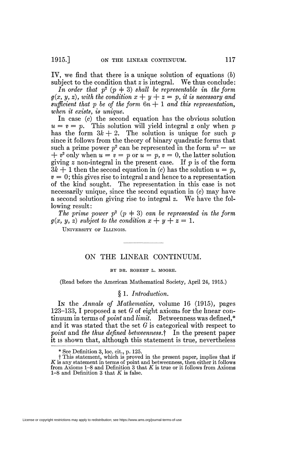1915.] ON THE LINEAR CONTINUUM. 117

IV, we find that there is a unique solution of equations *(b)*  subject to the condition that *z* is integral. We thus conclude:

In order that  $p^2$   $(p+3)$  shall be representable in the form  $g(x, y, z)$ , with the condition  $x + y + z = p$ , it is necessary and  $sufficient that p be of the form  $6n + 1$  and this representation,$ *when it exists, is unique.* 

In case  $(c)$  the second equation has the obvious solution  $u = v = p$ . This solution will yield integral z only when p has the form  $3k + 2$ . The solution is unique for such p since it follows from the theory of binary quadratic forms that such a prime power  $p^2$  can be represented in the form  $u^2 - uv$  $+ v^2$  only when  $u = v = p$  or  $u = p$ ,  $v = 0$ , the latter solution giving *z* non-integral in the present case. If *p* is of the form  $3k + 1$  then the second equation in (c) has the solution  $u = p$ ,  $v = 0$ ; this gives rise to integral z and hence to a representation of the kind sought. The representation in this case is not necessarily unique, since the second equation in (c) may have a second solution giving rise to integral *z.* We have the following result:

The prime power  $p^2$   $(p+3)$  can be represented in the form  $g(x, y, z)$  subject to the condition  $x + y + z = 1$ .

UNIVERSITY OF ILLINOIS.

# ON THE LINEAR CONTINUUM.

### BY DR. ROBERT L. MOORE.

(Read before the American Mathematical Society, April 24, 1915.)

§ 1. *Introduction.* 

In the *Annals of Mathematics*, volume 16 (1915), pages 123-133, I proposed a set *G* of eight axioms for the linear continuum in terms of *point* and *limit.* Betweenness was defined,\* and it was stated that the set *G* is categorical with respect to *point* and *the thus defined betweenness.*f In the present paper it is shown that, although this statement is true, nevertheless

<sup>\*</sup> See Definition 3, loc. cit., p. 125.

 $\dagger$  This statement, which is proved in the present paper, implies that if  $K$  is any statement in terms of point and betweenness, then either it follows from Axioms 1–8 and Definition 3 that  $K$  is true or it follows fro 1-8 and Definition 3 that *K* is false.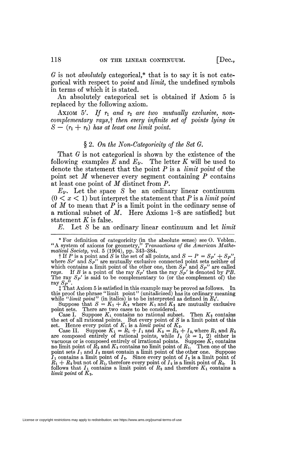*G* is not *absolutely* categorical,\* that is to say it is not categorical with respect to *'point* and *limit,* the undefined symbols in terms of which it is stated.

An absolutely categorical set is obtained if Axiom 5 is replaced by the following axiom.

Axiom 5'. If  $r_1$  and  $r_2$  are two mutually exclusive, non*complementary rays,f then every infinite set of points lying in*   $S - (r_1 + r_2)$  has at least one limit point.

### § 2. *On the Non-Categoricity of the Set G.*

That *G* is not categorical is shown by the existence of the following examples  $E$  and  $E_{5}$ . The letter  $K$  will be used to denote the statement that the point *P* is a *limit point* of the point set *M* whenever every segment containing *P* contains at least one point of *M* distinct from P.

*E&.* Let the space *S* be an ordinary linear continuum  $(0 < x < 1)$  but interpret the statement that P is a *limit point* of *M* to mean that *P* is a limit point in the ordinary sense of a rational subset of *M*. Here Axioms 1-8 are satisfiedj but statement *K* is false.

*E.* Let *S* be an ordinary linear continuum and let *limit* 

*t* That Axiom 5 is satisfied in this example may be proved as follows. In this proof the phrase "limit point" (unitalicized) has its ordinary meaning<br>while "*limit point*" (in italics) is to be interpreted as defined in  $E_5$ ".<br>Suppose that  $S = K_1 + K_2$  where  $K_1$  and  $K_2$  are mutually exclusi

point sets. There are two cases to be considered.

Case I. Suppose  $K_1$  contains no rational subset. Then  $K_2$  contains the set of all rational points. But every point of *S* is a limit point of this set. Hence every point of  $K_1$  is a *limit point* of  $K_2$ .

Case II. Suppose  $K_1 = R_1 + I_1$  and  $K_2 = R_2 + I_2$ , where  $R_1$  and  $R_2$  are composed entirely of rational points, while  $I_k$  ( $k = 1, 2$ ) either is vacuous or is composed entirely of irrational points. Suppose  $K_1$  contains no limit point of *R2* and *K2* contains no limit point of *Ri.* Then one of the point sets  $I_1$  and  $I_2$  must contain a limit point of the other one. Suppose *Ii* contains a limit point of *I2.* Since every point of *I2* is a limit point of  $R_1 + R_2$  but not of  $R_1$ , therefore every point of  $I_2$  is a limit point of  $R_2$ . It follows that  $I_1$  contains a limit point of  $R_2$  and therefore  $K_1$  contains a *limit point* of K2.

<sup>\*</sup> For definition of categoricity (in the absolute sense) see O. Veblen. "A system of axioms for geometry," *Transactions of the American Mathematical Society,* vol. 5 (1904), pp. 343-384.

<sup>†</sup> If P is a point and S is the set of all points, and  $S - P = S_{P} + S_{P}$ ", where  $S_{P}$ " and  $S_{P}$ " are mutually exclusive connected point sets neither of which contains a limit point of the other one, then *SP'* and *Sp"* are called *rays.* If *B* is a point of the ray  $S_P'$  then the ray  $\dot{S_P'}$  is denoted by *PB*. The ray  $S_P'$  is said to be complementary to (or the complement of) the ray  $S_P^{\prime\prime}$ .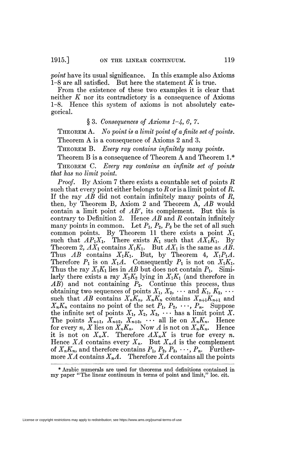*point* have its usual significance. In this example also Axioms 1-8 are all satisfied. But here the statement *K* is true.

From the existence of these two examples it is clear that neither *K* nor its contradictory is a consequence of Axioms 1-8. Hence this system of axioms is not absolutely categorical.

## § 3. *Consequences of Axioms 1~4, 6,* 7.

THEOREM A. *No point is a limit point of a finite set of points.*  Theorem A is a consequence of Axioms 2 and 3.

THEOREM B. *Every ray contains infinitely many points.* 

Theorem B is a consequence of Theorem A and Theorem 1.\* THEOREM C. *Every ray contains an infinite set of points that has no limit point.* 

*Proof.* By Axiom 7 there exists a countable set of points *R*  such that every point either belongs to *R* or is a limit point of *R.*  If the ray *AB* did not contain infinitely many points of *R,*  then, by Theorem B, Axiom 2 and Theorem A, *AB* would contain a limit point of *AB',* its complement. But this is contrary to Definition 2. Hence *AB* and *R* contain infinitely many points in common. Let  $P_1$ ,  $P_2$ ,  $P_3$  be the set of all such common points. By Theorem 11 there exists a point  $X_1$ such that  $AP_1X_1$ . There exists  $K_1$  such that  $AX_1K_1$ . By Theorem 2,  $AX_1$  contains  $X_1K_1$ . But  $AX_1$  is the same as  $A\check{B}$ . Thus  $AB$  contains  $X_1K_1$ . But, by Theorem 4,  $X_1P_1A$ . Therefore  $P_1$  is on  $X_1A$ . Consequently  $P_1$  is not on  $X_1K_1$ . Thus the ray  $X_1K_1$  lies in AB but does not contain  $P_1$ . Similarly there exists a ray  $X_2K_2$  lying in  $X_1K_1$  (and therefore in  $\overrightarrow{AB}$  and not containing  $\overrightarrow{P_2}$ . Continue this process, thus obtaining two sequences of points  $X_1, X_2, \cdots$  and  $K_1, K_2, \cdots$ such that  $AB$  contains  $X_nK_n$ ,  $X_nK_n$  contains  $X_{n+1}K_{n+1}$  and  $X_n K_n$  contains no point of the set  $P_1, P_2, \cdots, P_n$ . Suppose the infinite set of points  $X_1, X_2, X_3, \cdots$  has a limit point X. The points  $X_{n+1}$ ,  $X_{n+2}$ ,  $X_{n+3}$ ,  $\cdots$  all lie on  $X_n K_n$ . Hence for every *n*, *X* lies on  $X_nK_n$ . Now *A* is not on  $X_nK_n$ . Hence it is not on  $X_nX$ . Therefore  $AX_nX$  is true for every *n*. Hence  $XA$  contains every  $X_n$ . But  $X_nA$  is the complement of  $X_nK_n$ , and therefore contains  $P_1$ ,  $P_2$ ,  $P_3$ ,  $\cdots$ ,  $P_n$ . Furthermore  $XA$  contains  $X_nA$ . Therefore  $XA$  contains all the points

License or copyright restrictions may apply to redistribution; see https://www.ams.org/journal-terms-of-use

<sup>\*</sup> Arabic numerals are used for^ theorems and definitions contained in my paper "The linear continuum in terms of point and limit," loc. cit.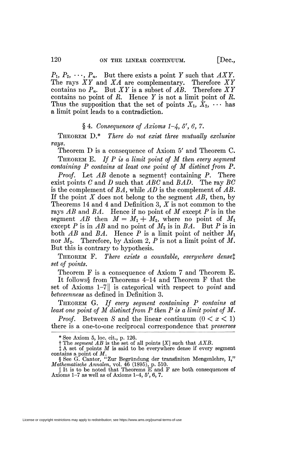$P_1, P_2, \cdots, P_n$ . But there exists a point *Y* such that *AXY*. The rays *XY* and *XA* are complementary. Therefore *XY* The rays  $XY$  and  $XA$  are complementary. contains no  $P_n$ . But XY is a subset of AB. Therefore XY contains no point of *R.* Hence *Y* is not a limit point of *R.*  Thus the supposition that the set of points  $X_1, X_2, \cdots$  has a limit point leads to a contradiction.

# $§ 4. Consequences of Axioms 1-4, 5', 6, 7.$

THEOREM D.\* *There do not exist three mutually exclusive rays.* 

Theorem D is a consequence of Axiom 5' and Theorem C. THEOREM E. *If P is a limit point of M then every segment containing P contains at least one point of M distinct from P.* 

*Proof,* Let *AB* denote a segmentf containing *P,* There exist points *C* and *D* such that *ABC* and *BAD,* The ray *BC*  is the complement of *BA,* while *AD* is the complement of *AB.*  If the point *X* does not belong to the segment *AB,* then, by Theorems 14 and 4 and Definition 3,  $X$  is not common to the rays *AB* and *BA,* Hence if no point of *M* except *P* is in the segment  $AB$  then  $M = M_1 + M_2$ , where no point of  $M_1$ except *P* is in  $AB$  and no point of  $M_2$  is in  $BA$ . But *P* is in both  $AB$  and  $BA$ . Hence  $P$  is a limit point of neither  $M_1$ nor *M2,* Therefore, by Axiom *2, P* is not a limit point of *M*. But this is contrary to hypothesis.

THEOREM F. There exists a countable, everywhere dense<sup>†</sup> *set of points.* 

Theorem F is a consequence of Axiom 7 and Theorem E.

It follows§ from Theorems 4–14 and Theorem F that the set of Axioms 1-71| is categorical with respect to *point* and *betweenness* as defined in Definition 3.

THEOREM G. *If every segment containing P contains at least one point of M distinct from P then P is a limit point of M.* 

*Proof.* Between *S* and the linear continuum  $(0 < x < 1)$ there is a one-to-one reciprocal correspondence that *preserves* 

Axioms 1-7 as well as of Axioms 1-4, 5', 6, 7.

License or copyright restrictions may apply to redistribution; see https://www.ams.org/journal-terms-of-use

<sup>\*</sup> See Axiom 5, loc. cit., p. 126.

t The *segment AB* is the set of all points [X] such that *AXB.* 

*t* A set of points *M* is said to be everywhere dense if every segment

contains a point of *M*.<br>
§ See G. Cantor, "Zur Begründung der transfiniten Mengenlehre, I,"<br> *Mathematische Annalen*, vol. 46 (1895), p. 510.<br>
<u>|</u> It is to be noted that Theorems E and F are both consequences of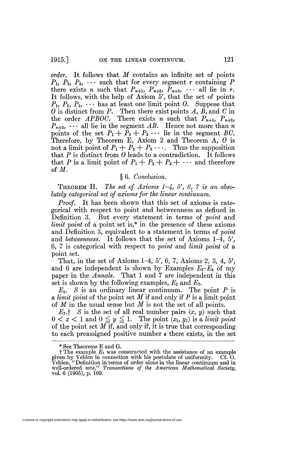*order.* It follows that *M* contains an infinite set of points  $P_1, P_2, P_3, \cdots$  such that for every segment  $\tau$  containing P there exists *n* such that  $P_{n+1}$ ,  $P_{n+2}$ ,  $P_{n+3}$ ,  $\cdots$  all lie in  $\tau$ . It follows, with the help of Axiom 5', that the set of points  $P_1, P_2, P_3, \cdots$  has at least one limit point O. Suppose that *0* is distinct from P. Then there exist points *A, B,* and *C* in the order *APBOC*. There exists *n* such that  $P_{n+1}$ ,  $P_{n+2}$ ,  $P_{n+3}$ ,  $\cdots$  all lie in the segment  $\overline{AB}$ . Hence not more than *n* points of the set  $P_1 + P_2 + P_3 \cdots$  lie in the segment *BC*. Therefore, by Theorem E, Axiom 2 and Theorem A, *0* is not a limit point of  $P_1 + P_2 + P_3 \cdots$ . Thus the supposition that  $P$  is distinct from  $\ddot{o}$  leads to a contradiction. It follows that P is a limit point of  $P_1 + P_2 + P_3 + \cdots$  and therefore of *M.* 

## § 6. *Conclusion.*

THEOREM H. *The set of Axioms 1~4, 5', 6, 7 is an absolutely categorical set of axioms for the linear continuum.* 

*Proof.* It has been shown that this set of axioms is categorical with respect to point and betweenness as defined in Definition 3. But every statement in terms of *point* and *limit point* of a point set is,\* in the presence of these axioms and Definition 3, equivalent to a statement in terms of *point*  and *betweenness*. It follows that the set of Axioms  $1-\overline{4}$ , 5', 6, 7 is categorical with respect to *point* and *limit point* of a point set.

That, in the set of Axioms 1-4, 5', 6, 7, Axioms 2, 3, 4, 5', and 6 are independent is shown by Examples  $E_2-E_6$  of my paper in the *Annals*. That 1 and 7 are independent in this set is shown by the following examples, *Ei* and *E7.* 

 $E_1$ . *S* is an ordinary linear continuum. The point *P* is a *limit point* of the point set *M* if and only if P is a limit point of *M* in the usual sense but *M* is not the set of all points.

 $E_7$ <sup>†</sup> *S* is the set of all real number pairs  $(x, y)$  such that  $0 < x < 1$  and  $0 \le y \le 1$ . The point  $(x_1, y_1)$  is a *limit point* of the point set  $M$  if, and only if, it is true that corresponding to each preassigned positive number  $\epsilon$  there exists, in the set

<sup>\*</sup> See Theorems E and G.

t The example *E7* was constructed with the assistance of an example given by Veblen in connection with his postulate of uniformity. Cf. O. Veblen, "Definition in terms of order alone in the linear continuum and in well-ordered sets/' *Transactions of the American Mathematical Society,*  vol. 6 (1905), p. 169.